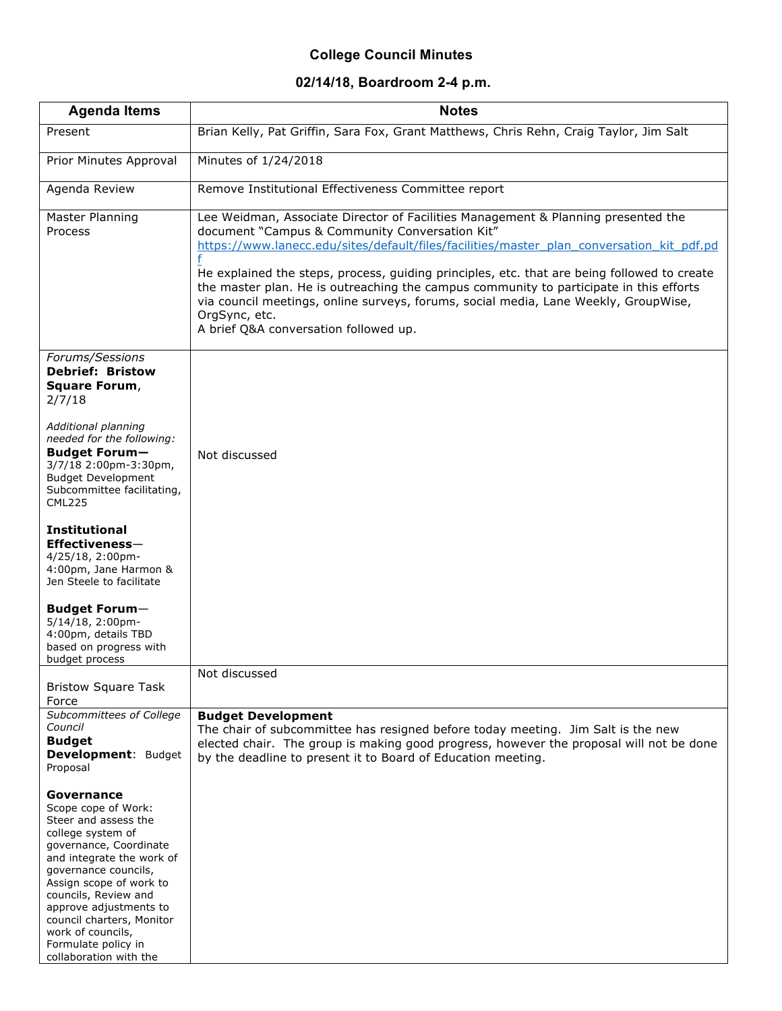## **College Council Minutes**

## **02/14/18, Boardroom 2-4 p.m.**

| <b>Agenda Items</b>                                                                                                                                                                                                                                                                                                                           | <b>Notes</b>                                                                                                                                                                                                                                                                                                                                                                                                                                                                                                                                                               |
|-----------------------------------------------------------------------------------------------------------------------------------------------------------------------------------------------------------------------------------------------------------------------------------------------------------------------------------------------|----------------------------------------------------------------------------------------------------------------------------------------------------------------------------------------------------------------------------------------------------------------------------------------------------------------------------------------------------------------------------------------------------------------------------------------------------------------------------------------------------------------------------------------------------------------------------|
| Present                                                                                                                                                                                                                                                                                                                                       | Brian Kelly, Pat Griffin, Sara Fox, Grant Matthews, Chris Rehn, Craig Taylor, Jim Salt                                                                                                                                                                                                                                                                                                                                                                                                                                                                                     |
| Prior Minutes Approval                                                                                                                                                                                                                                                                                                                        | Minutes of 1/24/2018                                                                                                                                                                                                                                                                                                                                                                                                                                                                                                                                                       |
| Agenda Review                                                                                                                                                                                                                                                                                                                                 | Remove Institutional Effectiveness Committee report                                                                                                                                                                                                                                                                                                                                                                                                                                                                                                                        |
| Master Planning<br>Process                                                                                                                                                                                                                                                                                                                    | Lee Weidman, Associate Director of Facilities Management & Planning presented the<br>document "Campus & Community Conversation Kit"<br>https://www.lanecc.edu/sites/default/files/facilities/master_plan_conversation_kit_pdf.pd<br>He explained the steps, process, guiding principles, etc. that are being followed to create<br>the master plan. He is outreaching the campus community to participate in this efforts<br>via council meetings, online surveys, forums, social media, Lane Weekly, GroupWise,<br>OrgSync, etc.<br>A brief Q&A conversation followed up. |
| Forums/Sessions<br><b>Debrief: Bristow</b><br>Square Forum,<br>2/7/18<br>Additional planning                                                                                                                                                                                                                                                  |                                                                                                                                                                                                                                                                                                                                                                                                                                                                                                                                                                            |
| needed for the following:<br><b>Budget Forum-</b><br>3/7/18 2:00pm-3:30pm,<br><b>Budget Development</b><br>Subcommittee facilitating,<br><b>CML225</b>                                                                                                                                                                                        | Not discussed                                                                                                                                                                                                                                                                                                                                                                                                                                                                                                                                                              |
| <b>Institutional</b><br>Effectiveness-<br>4/25/18, 2:00pm-<br>4:00pm, Jane Harmon &<br>Jen Steele to facilitate                                                                                                                                                                                                                               |                                                                                                                                                                                                                                                                                                                                                                                                                                                                                                                                                                            |
| <b>Budget Forum-</b><br>5/14/18, 2:00pm-<br>4:00pm, details TBD<br>based on progress with<br>budget process                                                                                                                                                                                                                                   |                                                                                                                                                                                                                                                                                                                                                                                                                                                                                                                                                                            |
| <b>Bristow Square Task</b>                                                                                                                                                                                                                                                                                                                    | Not discussed                                                                                                                                                                                                                                                                                                                                                                                                                                                                                                                                                              |
| Force<br>Subcommittees of College<br>Council<br><b>Budget</b><br>Development: Budget<br>Proposal                                                                                                                                                                                                                                              | <b>Budget Development</b><br>The chair of subcommittee has resigned before today meeting. Jim Salt is the new<br>elected chair. The group is making good progress, however the proposal will not be done<br>by the deadline to present it to Board of Education meeting.                                                                                                                                                                                                                                                                                                   |
| Governance<br>Scope cope of Work:<br>Steer and assess the<br>college system of<br>governance, Coordinate<br>and integrate the work of<br>governance councils,<br>Assign scope of work to<br>councils, Review and<br>approve adjustments to<br>council charters, Monitor<br>work of councils,<br>Formulate policy in<br>collaboration with the |                                                                                                                                                                                                                                                                                                                                                                                                                                                                                                                                                                            |